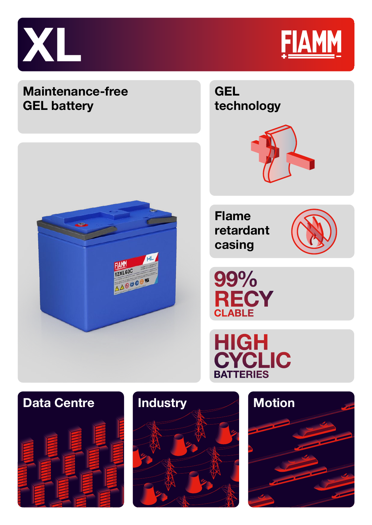



Technology

# **GEL Maintenance-free technology GEL battery Flame retardant casing FIAMM** 12XL60C 99% 12x10000 AV **RECY**<br>CLABLE Retardant Casing **HIGH<br>CYCLIC BATTERIES**